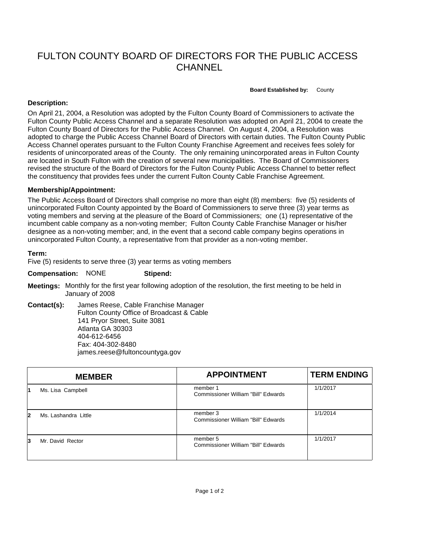# FULTON COUNTY BOARD OF DIRECTORS FOR THE PUBLIC ACCESS **CHANNEL**

#### **Board Established by:** County

## **Description:**

On April 21, 2004, a Resolution was adopted by the Fulton County Board of Commissioners to activate the Fulton County Public Access Channel and a separate Resolution was adopted on April 21, 2004 to create the Fulton County Board of Directors for the Public Access Channel. On August 4, 2004, a Resolution was adopted to charge the Public Access Channel Board of Directors with certain duties. The Fulton County Public Access Channel operates pursuant to the Fulton County Franchise Agreement and receives fees solely for residents of unincorporated areas of the County. The only remaining unincorporated areas in Fulton County are located in South Fulton with the creation of several new municipalities. The Board of Commissioners revised the structure of the Board of Directors for the Fulton County Public Access Channel to better reflect the constituency that provides fees under the current Fulton County Cable Franchise Agreement.

### **Membership/Appointment:**

The Public Access Board of Directors shall comprise no more than eight (8) members: five (5) residents of unincorporated Fulton County appointed by the Board of Commissioners to serve three (3) year terms as voting members and serving at the pleasure of the Board of Commissioners; one (1) representative of the incumbent cable company as a non-voting member; Fulton County Cable Franchise Manager or his/her designee as a non-voting member; and, in the event that a second cable company begins operations in unincorporated Fulton County, a representative from that provider as a non-voting member.

### **Term:**

Five (5) residents to serve three (3) year terms as voting members

#### **Compensation:** NONE **Stipend:**

- **Meetings:** Monthly for the first year following adoption of the resolution, the first meeting to be held in January of 2008
- **Contact(s):** James Reese, Cable Franchise Manager Fulton County Office of Broadcast & Cable 141 Pryor Street, Suite 3081 Atlanta GA 30303 404-612-6456 Fax: 404-302-8480 james.reese@fultoncountyga.gov

|   | <b>MEMBER</b>        | <b>APPOINTMENT</b>                                     | <b>TERM ENDING</b> |
|---|----------------------|--------------------------------------------------------|--------------------|
|   | Ms. Lisa Campbell    | member 1<br><b>Commissioner William "Bill" Edwards</b> | 1/1/2017           |
| 2 | Ms. Lashandra Little | member 3<br>Commissioner William "Bill" Edwards        | 1/1/2014           |
| 3 | Mr. David Rector     | member 5<br><b>Commissioner William "Bill" Edwards</b> | 1/1/2017           |